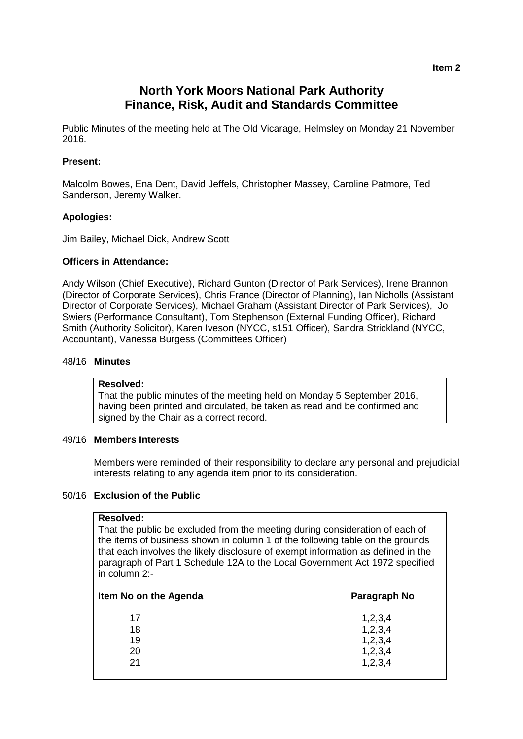# **North York Moors National Park Authority Finance, Risk, Audit and Standards Committee**

Public Minutes of the meeting held at The Old Vicarage, Helmsley on Monday 21 November 2016.

# **Present:**

Malcolm Bowes, Ena Dent, David Jeffels, Christopher Massey, Caroline Patmore, Ted Sanderson, Jeremy Walker.

### **Apologies:**

Jim Bailey, Michael Dick, Andrew Scott

#### **Officers in Attendance:**

Andy Wilson (Chief Executive), Richard Gunton (Director of Park Services), Irene Brannon (Director of Corporate Services), Chris France (Director of Planning), Ian Nicholls (Assistant Director of Corporate Services), Michael Graham (Assistant Director of Park Services), Jo Swiers (Performance Consultant), Tom Stephenson (External Funding Officer), Richard Smith (Authority Solicitor), Karen Iveson (NYCC, s151 Officer), Sandra Strickland (NYCC, Accountant), Vanessa Burgess (Committees Officer)

# 48**/**16 **Minutes**

# **Resolved:**

That the public minutes of the meeting held on Monday 5 September 2016, having been printed and circulated, be taken as read and be confirmed and signed by the Chair as a correct record.

# 49/16 **Members Interests**

Members were reminded of their responsibility to declare any personal and prejudicial interests relating to any agenda item prior to its consideration.

#### 50/16 **Exclusion of the Public**

#### **Resolved:**

That the public be excluded from the meeting during consideration of each of the items of business shown in column 1 of the following table on the grounds that each involves the likely disclosure of exempt information as defined in the paragraph of Part 1 Schedule 12A to the Local Government Act 1972 specified in column 2:-

| Item No on the Agenda | Paragraph No |
|-----------------------|--------------|
| 17                    | 1,2,3,4      |
| 18                    | 1,2,3,4      |
| 19                    | 1,2,3,4      |
| 20                    | 1,2,3,4      |
| 21                    | 1,2,3,4      |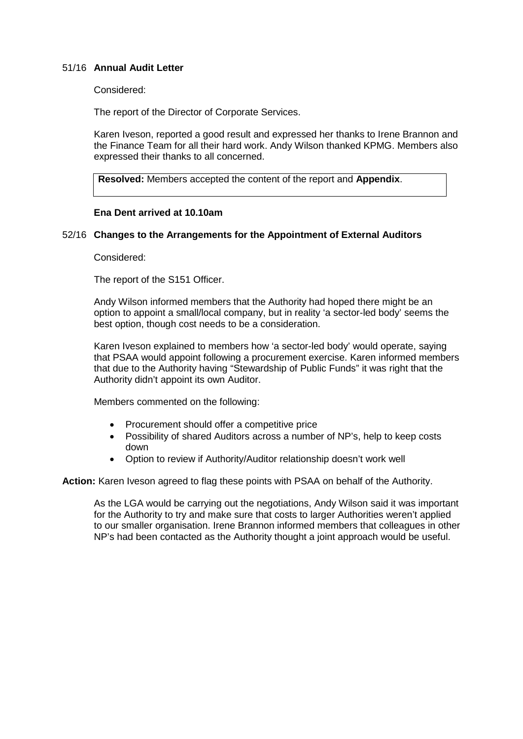# 51/16 **Annual Audit Letter**

#### Considered:

The report of the Director of Corporate Services.

Karen Iveson, reported a good result and expressed her thanks to Irene Brannon and the Finance Team for all their hard work. Andy Wilson thanked KPMG. Members also expressed their thanks to all concerned.

**Resolved:** Members accepted the content of the report and **Appendix**.

### **Ena Dent arrived at 10.10am**

### 52/16 **Changes to the Arrangements for the Appointment of External Auditors**

Considered:

The report of the S151 Officer.

Andy Wilson informed members that the Authority had hoped there might be an option to appoint a small/local company, but in reality 'a sector-led body' seems the best option, though cost needs to be a consideration.

Karen Iveson explained to members how 'a sector-led body' would operate, saying that PSAA would appoint following a procurement exercise. Karen informed members that due to the Authority having "Stewardship of Public Funds" it was right that the Authority didn't appoint its own Auditor.

Members commented on the following:

- Procurement should offer a competitive price
- Possibility of shared Auditors across a number of NP's, help to keep costs down
- Option to review if Authority/Auditor relationship doesn't work well

**Action:** Karen Iveson agreed to flag these points with PSAA on behalf of the Authority.

As the LGA would be carrying out the negotiations, Andy Wilson said it was important for the Authority to try and make sure that costs to larger Authorities weren't applied to our smaller organisation. Irene Brannon informed members that colleagues in other NP's had been contacted as the Authority thought a joint approach would be useful.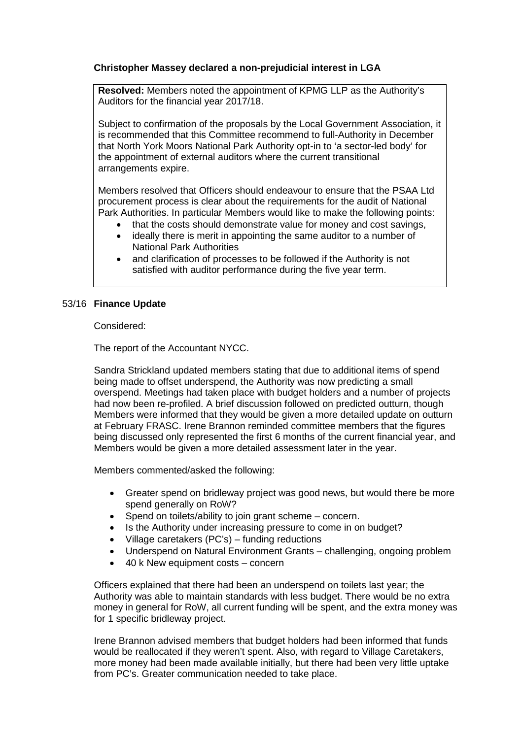# **Christopher Massey declared a non-prejudicial interest in LGA**

**Resolved:** Members noted the appointment of KPMG LLP as the Authority's Auditors for the financial year 2017/18.

Subject to confirmation of the proposals by the Local Government Association, it is recommended that this Committee recommend to full-Authority in December that North York Moors National Park Authority opt-in to 'a sector-led body' for the appointment of external auditors where the current transitional arrangements expire.

Members resolved that Officers should endeavour to ensure that the PSAA Ltd procurement process is clear about the requirements for the audit of National Park Authorities. In particular Members would like to make the following points:

- that the costs should demonstrate value for money and cost savings,
- ideally there is merit in appointing the same auditor to a number of National Park Authorities
- and clarification of processes to be followed if the Authority is not satisfied with auditor performance during the five year term.

### 53/16 **Finance Update**

Considered:

The report of the Accountant NYCC.

Sandra Strickland updated members stating that due to additional items of spend being made to offset underspend, the Authority was now predicting a small overspend. Meetings had taken place with budget holders and a number of projects had now been re-profiled. A brief discussion followed on predicted outturn, though Members were informed that they would be given a more detailed update on outturn at February FRASC. Irene Brannon reminded committee members that the figures being discussed only represented the first 6 months of the current financial year, and Members would be given a more detailed assessment later in the year.

Members commented/asked the following:

- Greater spend on bridleway project was good news, but would there be more spend generally on RoW?
- Spend on toilets/ability to join grant scheme concern.
- Is the Authority under increasing pressure to come in on budget?
- Village caretakers (PC's) funding reductions
- Underspend on Natural Environment Grants challenging, ongoing problem
- 40 k New equipment costs concern

Officers explained that there had been an underspend on toilets last year; the Authority was able to maintain standards with less budget. There would be no extra money in general for RoW, all current funding will be spent, and the extra money was for 1 specific bridleway project.

Irene Brannon advised members that budget holders had been informed that funds would be reallocated if they weren't spent. Also, with regard to Village Caretakers, more money had been made available initially, but there had been very little uptake from PC's. Greater communication needed to take place.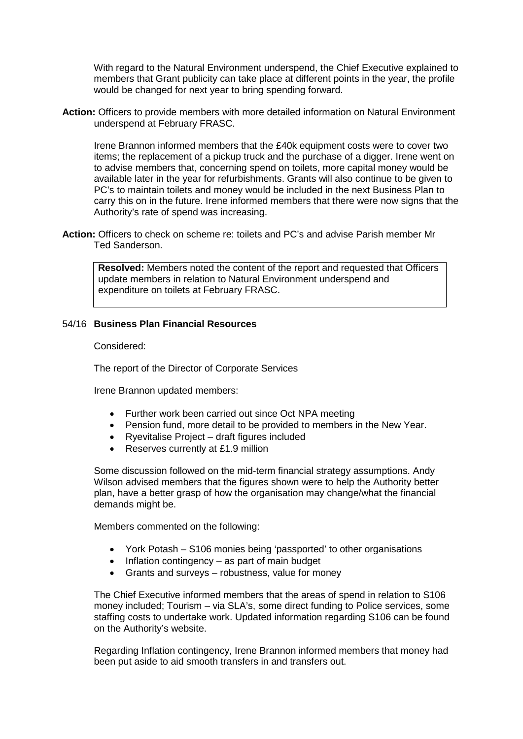With regard to the Natural Environment underspend, the Chief Executive explained to members that Grant publicity can take place at different points in the year, the profile would be changed for next year to bring spending forward.

**Action:** Officers to provide members with more detailed information on Natural Environment underspend at February FRASC.

Irene Brannon informed members that the £40k equipment costs were to cover two items; the replacement of a pickup truck and the purchase of a digger. Irene went on to advise members that, concerning spend on toilets, more capital money would be available later in the year for refurbishments. Grants will also continue to be given to PC's to maintain toilets and money would be included in the next Business Plan to carry this on in the future. Irene informed members that there were now signs that the Authority's rate of spend was increasing.

**Action:** Officers to check on scheme re: toilets and PC's and advise Parish member Mr Ted Sanderson.

**Resolved:** Members noted the content of the report and requested that Officers update members in relation to Natural Environment underspend and expenditure on toilets at February FRASC.

# 54/16 **Business Plan Financial Resources**

Considered:

The report of the Director of Corporate Services

Irene Brannon updated members:

- Further work been carried out since Oct NPA meeting
- Pension fund, more detail to be provided to members in the New Year.
- Ryevitalise Project draft figures included
- Reserves currently at £1.9 million

Some discussion followed on the mid-term financial strategy assumptions. Andy Wilson advised members that the figures shown were to help the Authority better plan, have a better grasp of how the organisation may change/what the financial demands might be.

Members commented on the following:

- York Potash S106 monies being 'passported' to other organisations
- Inflation contingency as part of main budget
- Grants and surveys robustness, value for money

The Chief Executive informed members that the areas of spend in relation to S106 money included; Tourism – via SLA's, some direct funding to Police services, some staffing costs to undertake work. Updated information regarding S106 can be found on the Authority's website.

Regarding Inflation contingency, Irene Brannon informed members that money had been put aside to aid smooth transfers in and transfers out.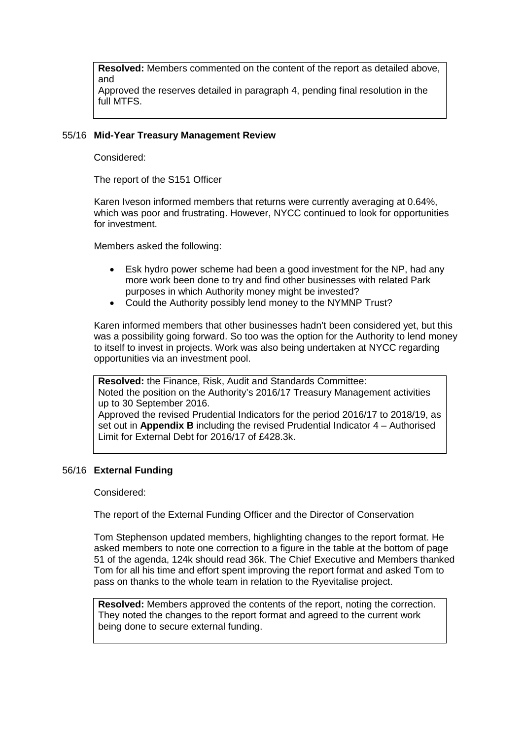**Resolved:** Members commented on the content of the report as detailed above, and

Approved the reserves detailed in paragraph 4, pending final resolution in the full MTFS.

### 55/16 **Mid-Year Treasury Management Review**

Considered:

The report of the S151 Officer

Karen Iveson informed members that returns were currently averaging at 0.64%, which was poor and frustrating. However, NYCC continued to look for opportunities for investment.

Members asked the following:

- Esk hydro power scheme had been a good investment for the NP, had any more work been done to try and find other businesses with related Park purposes in which Authority money might be invested?
- Could the Authority possibly lend money to the NYMNP Trust?

Karen informed members that other businesses hadn't been considered yet, but this was a possibility going forward. So too was the option for the Authority to lend money to itself to invest in projects. Work was also being undertaken at NYCC regarding opportunities via an investment pool.

**Resolved:** the Finance, Risk, Audit and Standards Committee: Noted the position on the Authority's 2016/17 Treasury Management activities up to 30 September 2016.

Approved the revised Prudential Indicators for the period 2016/17 to 2018/19, as set out in **Appendix B** including the revised Prudential Indicator 4 – Authorised Limit for External Debt for 2016/17 of £428.3k.

# 56/16 **External Funding**

#### Considered:

The report of the External Funding Officer and the Director of Conservation

Tom Stephenson updated members, highlighting changes to the report format. He asked members to note one correction to a figure in the table at the bottom of page 51 of the agenda, 124k should read 36k. The Chief Executive and Members thanked Tom for all his time and effort spent improving the report format and asked Tom to pass on thanks to the whole team in relation to the Ryevitalise project.

**Resolved:** Members approved the contents of the report, noting the correction. They noted the changes to the report format and agreed to the current work being done to secure external funding.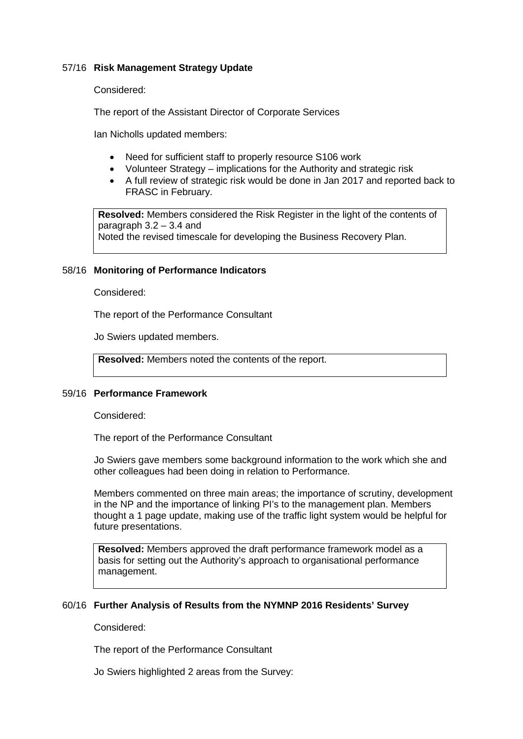# 57/16 **Risk Management Strategy Update**

Considered:

The report of the Assistant Director of Corporate Services

Ian Nicholls updated members:

- Need for sufficient staff to properly resource S106 work
- Volunteer Strategy implications for the Authority and strategic risk
- A full review of strategic risk would be done in Jan 2017 and reported back to FRASC in February.

**Resolved:** Members considered the Risk Register in the light of the contents of paragraph 3.2 – 3.4 and Noted the revised timescale for developing the Business Recovery Plan.

#### 58/16 **Monitoring of Performance Indicators**

Considered:

The report of the Performance Consultant

Jo Swiers updated members.

**Resolved:** Members noted the contents of the report.

#### 59/16 **Performance Framework**

Considered:

The report of the Performance Consultant

Jo Swiers gave members some background information to the work which she and other colleagues had been doing in relation to Performance.

Members commented on three main areas; the importance of scrutiny, development in the NP and the importance of linking PI's to the management plan. Members thought a 1 page update, making use of the traffic light system would be helpful for future presentations.

**Resolved:** Members approved the draft performance framework model as a basis for setting out the Authority's approach to organisational performance management.

#### 60/16 **Further Analysis of Results from the NYMNP 2016 Residents' Survey**

Considered:

The report of the Performance Consultant

Jo Swiers highlighted 2 areas from the Survey: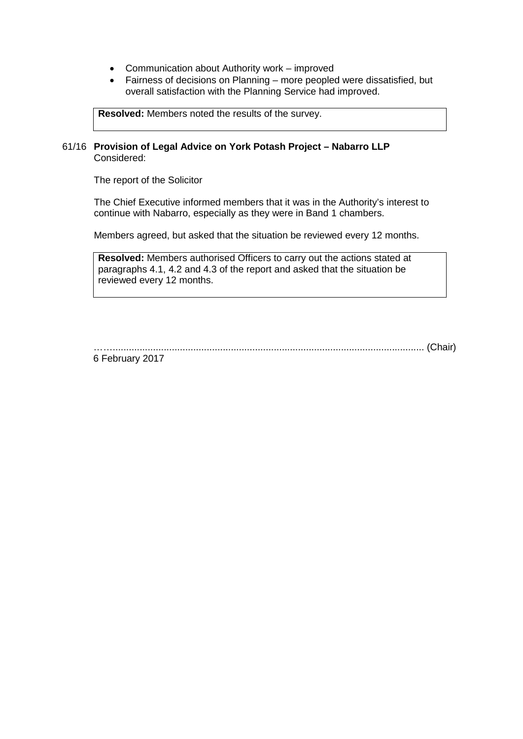- Communication about Authority work improved
- Fairness of decisions on Planning more peopled were dissatisfied, but overall satisfaction with the Planning Service had improved.

**Resolved:** Members noted the results of the survey.

#### 61/16 **Provision of Legal Advice on York Potash Project – Nabarro LLP** Considered:

The report of the Solicitor

The Chief Executive informed members that it was in the Authority's interest to continue with Nabarro, especially as they were in Band 1 chambers.

Members agreed, but asked that the situation be reviewed every 12 months.

**Resolved:** Members authorised Officers to carry out the actions stated at paragraphs 4.1, 4.2 and 4.3 of the report and asked that the situation be reviewed every 12 months.

…….................................................................................................................... (Chair)

6 February 2017